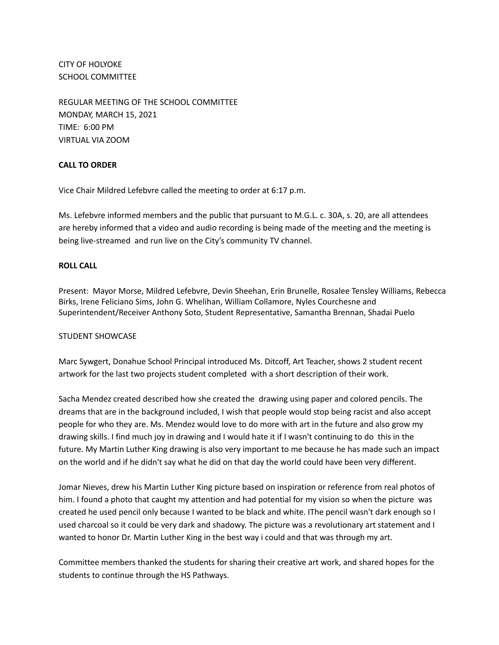CITY OF HOLYOKE SCHOOL COMMITTEE

REGULAR MEETING OF THE SCHOOL COMMITTEE MONDAY, MARCH 15, 2021 TIME: 6:00 PM VIRTUAL VIA ZOOM

# **CALL TO ORDER**

Vice Chair Mildred Lefebvre called the meeting to order at 6:17 p.m.

Ms. Lefebvre informed members and the public that pursuant to M.G.L. c. 30A, s. 20, are all attendees are hereby informed that a video and audio recording is being made of the meeting and the meeting is being live-streamed and run live on the City's community TV channel.

# **ROLL CALL**

Present: Mayor Morse, Mildred Lefebvre, Devin Sheehan, Erin Brunelle, Rosalee Tensley Williams, Rebecca Birks, Irene Feliciano Sims, John G. Whelihan, William Collamore, Nyles Courchesne and Superintendent/Receiver Anthony Soto, Student Representative, Samantha Brennan, Shadai Puelo

# STUDENT SHOWCASE

Marc Sywgert, Donahue School Principal introduced Ms. Ditcoff, Art Teacher, shows 2 student recent artwork for the last two projects student completed with a short description of their work.

Sacha Mendez created described how she created the drawing using paper and colored pencils. The dreams that are in the background included, I wish that people would stop being racist and also accept people for who they are. Ms. Mendez would love to do more with art in the future and also grow my drawing skills. I find much joy in drawing and I would hate it if I wasn't continuing to do this in the future. My Martin Luther King drawing is also very important to me because he has made such an impact on the world and if he didn't say what he did on that day the world could have been very different.

Jomar Nieves, drew his Martin Luther King picture based on inspiration or reference from real photos of him. I found a photo that caught my attention and had potential for my vision so when the picture was created he used pencil only because I wanted to be black and white. IThe pencil wasn't dark enough so I used charcoal so it could be very dark and shadowy. The picture was a revolutionary art statement and I wanted to honor Dr. Martin Luther King in the best way i could and that was through my art.

Committee members thanked the students for sharing their creative art work, and shared hopes for the students to continue through the HS Pathways.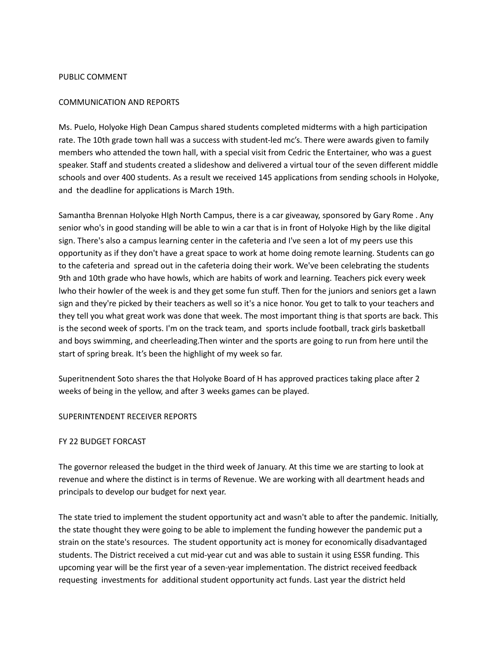#### PUBLIC COMMENT

#### COMMUNICATION AND REPORTS

Ms. Puelo, Holyoke High Dean Campus shared students completed midterms with a high participation rate. The 10th grade town hall was a success with student-led mc's. There were awards given to family members who attended the town hall, with a special visit from Cedric the Entertainer, who was a guest speaker. Staff and students created a slideshow and delivered a virtual tour of the seven different middle schools and over 400 students. As a result we received 145 applications from sending schools in Holyoke, and the deadline for applications is March 19th.

Samantha Brennan Holyoke HIgh North Campus, there is a car giveaway, sponsored by Gary Rome . Any senior who's in good standing will be able to win a car that is in front of Holyoke High by the like digital sign. There's also a campus learning center in the cafeteria and I've seen a lot of my peers use this opportunity as if they don't have a great space to work at home doing remote learning. Students can go to the cafeteria and spread out in the cafeteria doing their work. We've been celebrating the students 9th and 10th grade who have howls, which are habits of work and learning. Teachers pick every week lwho their howler of the week is and they get some fun stuff. Then for the juniors and seniors get a lawn sign and they're picked by their teachers as well so it's a nice honor. You get to talk to your teachers and they tell you what great work was done that week. The most important thing is that sports are back. This is the second week of sports. I'm on the track team, and sports include football, track girls basketball and boys swimming, and cheerleading.Then winter and the sports are going to run from here until the start of spring break. It's been the highlight of my week so far.

Superitnendent Soto shares the that Holyoke Board of H has approved practices taking place after 2 weeks of being in the yellow, and after 3 weeks games can be played.

#### SUPERINTENDENT RECEIVER REPORTS

#### FY 22 BUDGET FORCAST

The governor released the budget in the third week of January. At this time we are starting to look at revenue and where the distinct is in terms of Revenue. We are working with all deartment heads and principals to develop our budget for next year.

The state tried to implement the student opportunity act and wasn't able to after the pandemic. Initially, the state thought they were going to be able to implement the funding however the pandemic put a strain on the state's resources. The student opportunity act is money for economically disadvantaged students. The District received a cut mid-year cut and was able to sustain it using ESSR funding. This upcoming year will be the first year of a seven-year implementation. The district received feedback requesting investments for additional student opportunity act funds. Last year the district held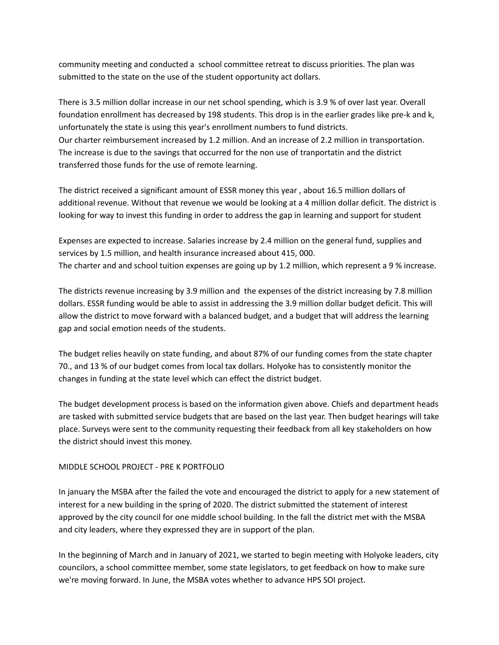community meeting and conducted a school committee retreat to discuss priorities. The plan was submitted to the state on the use of the student opportunity act dollars.

There is 3.5 million dollar increase in our net school spending, which is 3.9 % of over last year. Overall foundation enrollment has decreased by 198 students. This drop is in the earlier grades like pre-k and k, unfortunately the state is using this year's enrollment numbers to fund districts. Our charter reimbursement increased by 1.2 million. And an increase of 2.2 million in transportation. The increase is due to the savings that occurred for the non use of tranportatin and the district transferred those funds for the use of remote learning.

The district received a significant amount of ESSR money this year , about 16.5 million dollars of additional revenue. Without that revenue we would be looking at a 4 million dollar deficit. The district is looking for way to invest this funding in order to address the gap in learning and support for student

Expenses are expected to increase. Salaries increase by 2.4 million on the general fund, supplies and services by 1.5 million, and health insurance increased about 415, 000. The charter and and school tuition expenses are going up by 1.2 million, which represent a 9 % increase.

The districts revenue increasing by 3.9 million and the expenses of the district increasing by 7.8 million dollars. ESSR funding would be able to assist in addressing the 3.9 million dollar budget deficit. This will allow the district to move forward with a balanced budget, and a budget that will address the learning gap and social emotion needs of the students.

The budget relies heavily on state funding, and about 87% of our funding comes from the state chapter 70., and 13 % of our budget comes from local tax dollars. Holyoke has to consistently monitor the changes in funding at the state level which can effect the district budget.

The budget development process is based on the information given above. Chiefs and department heads are tasked with submitted service budgets that are based on the last year. Then budget hearings will take place. Surveys were sent to the community requesting their feedback from all key stakeholders on how the district should invest this money.

# MIDDLE SCHOOL PROJECT - PRE K PORTFOLIO

In january the MSBA after the failed the vote and encouraged the district to apply for a new statement of interest for a new building in the spring of 2020. The district submitted the statement of interest approved by the city council for one middle school building. In the fall the district met with the MSBA and city leaders, where they expressed they are in support of the plan.

In the beginning of March and in January of 2021, we started to begin meeting with Holyoke leaders, city councilors, a school committee member, some state legislators, to get feedback on how to make sure we're moving forward. In June, the MSBA votes whether to advance HPS SOI project.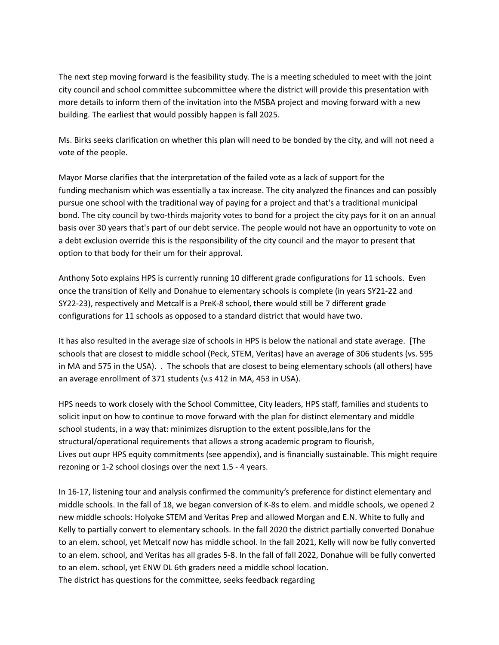The next step moving forward is the feasibility study. The is a meeting scheduled to meet with the joint city council and school committee subcommittee where the district will provide this presentation with more details to inform them of the invitation into the MSBA project and moving forward with a new building. The earliest that would possibly happen is fall 2025.

Ms. Birks seeks clarification on whether this plan will need to be bonded by the city, and will not need a vote of the people.

Mayor Morse clarifies that the interpretation of the failed vote as a lack of support for the funding mechanism which was essentially a tax increase. The city analyzed the finances and can possibly pursue one school with the traditional way of paying for a project and that's a traditional municipal bond. The city council by two-thirds majority votes to bond for a project the city pays for it on an annual basis over 30 years that's part of our debt service. The people would not have an opportunity to vote on a debt exclusion override this is the responsibility of the city council and the mayor to present that option to that body for their um for their approval.

Anthony Soto explains HPS is currently running 10 different grade configurations for 11 schools. Even once the transition of Kelly and Donahue to elementary schools is complete (in years SY21-22 and SY22-23), respectively and Metcalf is a PreK-8 school, there would still be 7 different grade configurations for 11 schools as opposed to a standard district that would have two.

It has also resulted in the average size of schools in HPS is below the national and state average. [The schools that are closest to middle school (Peck, STEM, Veritas) have an average of 306 students (vs. 595 in MA and 575 in the USA). . The schools that are closest to being elementary schools (all others) have an average enrollment of 371 students (v.s 412 in MA, 453 in USA).

HPS needs to work closely with the School Committee, City leaders, HPS staff, families and students to solicit input on how to continue to move forward with the plan for distinct elementary and middle school students, in a way that: minimizes disruption to the extent possible,lans for the structural/operational requirements that allows a strong academic program to flourish, Lives out oupr HPS equity commitments (see appendix), and is financially sustainable. This might require rezoning or 1-2 school closings over the next 1.5 - 4 years.

In 16-17, listening tour and analysis confirmed the community's preference for distinct elementary and middle schools. In the fall of 18, we began conversion of K-8s to elem. and middle schools, we opened 2 new middle schools: Holyoke STEM and Veritas Prep and allowed Morgan and E.N. White to fully and Kelly to partially convert to elementary schools. In the fall 2020 the district partially converted Donahue to an elem. school, yet Metcalf now has middle school. In the fall 2021, Kelly will now be fully converted to an elem. school, and Veritas has all grades 5-8. In the fall of fall 2022, Donahue will be fully converted to an elem. school, yet ENW DL 6th graders need a middle school location. The district has questions for the committee, seeks feedback regarding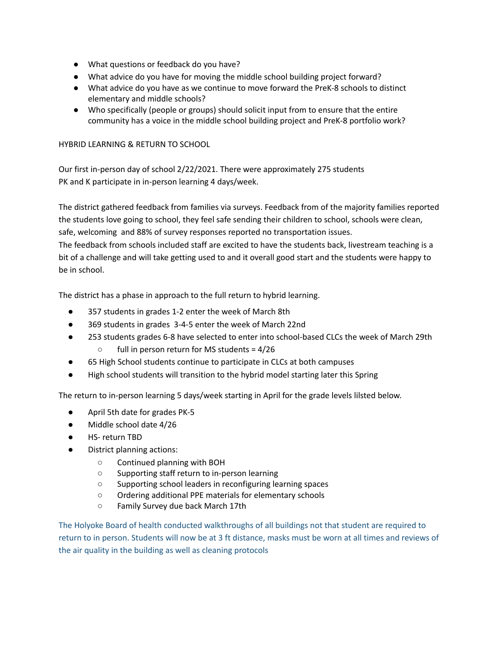- What questions or feedback do you have?
- What advice do you have for moving the middle school building project forward?
- What advice do you have as we continue to move forward the PreK-8 schools to distinct elementary and middle schools?
- Who specifically (people or groups) should solicit input from to ensure that the entire community has a voice in the middle school building project and PreK-8 portfolio work?

# HYBRID LEARNING & RETURN TO SCHOOL

Our first in-person day of school 2/22/2021. There were approximately 275 students PK and K participate in in-person learning 4 days/week.

The district gathered feedback from families via surveys. Feedback from of the majority families reported the students love going to school, they feel safe sending their children to school, schools were clean, safe, welcoming and 88% of survey responses reported no transportation issues.

The feedback from schools included staff are excited to have the students back, livestream teaching is a bit of a challenge and will take getting used to and it overall good start and the students were happy to be in school.

The district has a phase in approach to the full return to hybrid learning.

- 357 students in grades 1-2 enter the week of March 8th
- 369 students in grades 3-4-5 enter the week of March 22nd
- 253 students grades 6-8 have selected to enter into school-based CLCs the week of March 29th ○ full in person return for MS students = 4/26
- 65 High School students continue to participate in CLCs at both campuses
- High school students will transition to the hybrid model starting later this Spring

The return to in-person learning 5 days/week starting in April for the grade levels lilsted below.

- April 5th date for grades PK-5
- Middle school date 4/26
- HS- return TBD
- District planning actions:
	- Continued planning with BOH
	- Supporting staff return to in-person learning
	- Supporting school leaders in reconfiguring learning spaces
	- Ordering additional PPE materials for elementary schools
	- Family Survey due back March 17th

The Holyoke Board of health conducted walkthroughs of all buildings not that student are required to return to in person. Students will now be at 3 ft distance, masks must be worn at all times and reviews of the air quality in the building as well as cleaning protocols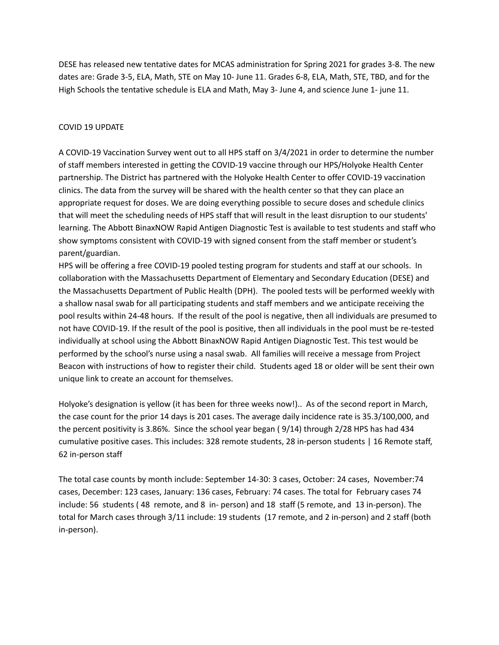DESE has released new tentative dates for MCAS administration for Spring 2021 for grades 3-8. The new dates are: Grade 3-5, ELA, Math, STE on May 10- June 11. Grades 6-8, ELA, Math, STE, TBD, and for the High Schools the tentative schedule is ELA and Math, May 3- June 4, and science June 1- june 11.

### COVID 19 UPDATE

A COVID-19 Vaccination Survey went out to all HPS staff on 3/4/2021 in order to determine the number of staff members interested in getting the COVID-19 vaccine through our HPS/Holyoke Health Center partnership. The District has partnered with the Holyoke Health Center to offer COVID-19 vaccination clinics. The data from the survey will be shared with the health center so that they can place an appropriate request for doses. We are doing everything possible to secure doses and schedule clinics that will meet the scheduling needs of HPS staff that will result in the least disruption to our students' learning. The Abbott BinaxNOW Rapid Antigen Diagnostic Test is available to test students and staff who show symptoms consistent with COVID-19 with signed consent from the staff member or student's parent/guardian.

HPS will be offering a free COVID-19 pooled testing program for students and staff at our schools. In collaboration with the Massachusetts Department of Elementary and Secondary Education (DESE) and the Massachusetts Department of Public Health (DPH). The pooled tests will be performed weekly with a shallow nasal swab for all participating students and staff members and we anticipate receiving the pool results within 24-48 hours. If the result of the pool is negative, then all individuals are presumed to not have COVID-19. If the result of the pool is positive, then all individuals in the pool must be re-tested individually at school using the Abbott BinaxNOW Rapid Antigen Diagnostic Test. This test would be performed by the school's nurse using a nasal swab. All families will receive a message from Project Beacon with instructions of how to register their child. Students aged 18 or older will be sent their own unique link to create an account for themselves.

Holyoke's designation is yellow (it has been for three weeks now!).. As of the second report in March, the case count for the prior 14 days is 201 cases. The average daily incidence rate is 35.3/100,000, and the percent positivity is 3.86%. Since the school year began ( 9/14) through 2/28 HPS has had 434 cumulative positive cases. This includes: 328 remote students, 28 in-person students | 16 Remote staff, 62 in-person staff

The total case counts by month include: September 14-30: 3 cases, October: 24 cases, November:74 cases, December: 123 cases, January: 136 cases, February: 74 cases. The total for February cases 74 include: 56 students ( 48 remote, and 8 in- person) and 18 staff (5 remote, and 13 in-person). The total for March cases through 3/11 include: 19 students (17 remote, and 2 in-person) and 2 staff (both in-person).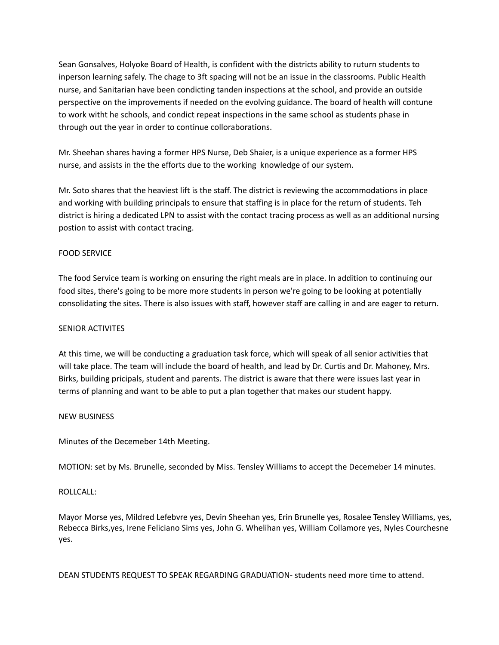Sean Gonsalves, Holyoke Board of Health, is confident with the districts ability to ruturn students to inperson learning safely. The chage to 3ft spacing will not be an issue in the classrooms. Public Health nurse, and Sanitarian have been condicting tanden inspections at the school, and provide an outside perspective on the improvements if needed on the evolving guidance. The board of health will contune to work witht he schools, and condict repeat inspections in the same school as students phase in through out the year in order to continue colloraborations.

Mr. Sheehan shares having a former HPS Nurse, Deb Shaier, is a unique experience as a former HPS nurse, and assists in the the efforts due to the working knowledge of our system.

Mr. Soto shares that the heaviest lift is the staff. The district is reviewing the accommodations in place and working with building principals to ensure that staffing is in place for the return of students. Teh district is hiring a dedicated LPN to assist with the contact tracing process as well as an additional nursing postion to assist with contact tracing.

# FOOD SERVICE

The food Service team is working on ensuring the right meals are in place. In addition to continuing our food sites, there's going to be more more students in person we're going to be looking at potentially consolidating the sites. There is also issues with staff, however staff are calling in and are eager to return.

# SENIOR ACTIVITES

At this time, we will be conducting a graduation task force, which will speak of all senior activities that will take place. The team will include the board of health, and lead by Dr. Curtis and Dr. Mahoney, Mrs. Birks, building pricipals, student and parents. The district is aware that there were issues last year in terms of planning and want to be able to put a plan together that makes our student happy.

# NEW BUSINESS

Minutes of the Decemeber 14th Meeting.

MOTION: set by Ms. Brunelle, seconded by Miss. Tensley Williams to accept the Decemeber 14 minutes.

# ROLLCALL:

Mayor Morse yes, Mildred Lefebvre yes, Devin Sheehan yes, Erin Brunelle yes, Rosalee Tensley Williams, yes, Rebecca Birks,yes, Irene Feliciano Sims yes, John G. Whelihan yes, William Collamore yes, Nyles Courchesne yes.

DEAN STUDENTS REQUEST TO SPEAK REGARDING GRADUATION- students need more time to attend.